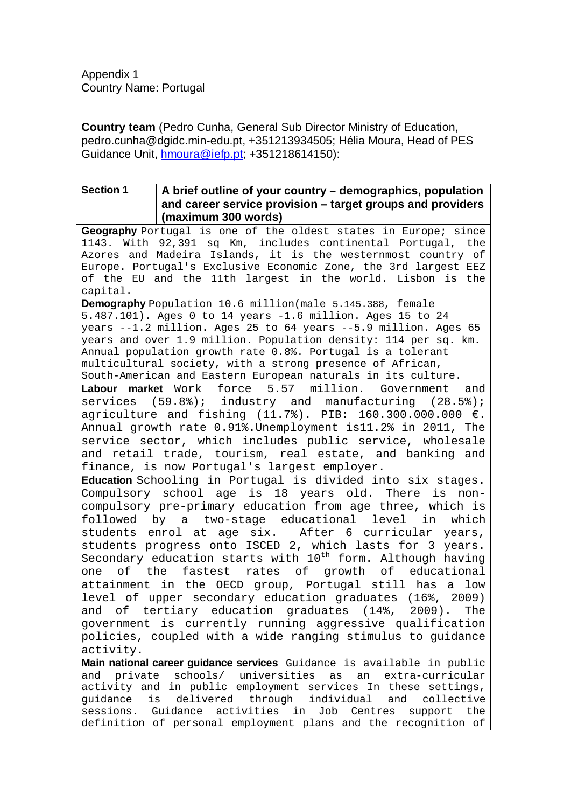Appendix 1 Country Name: Portugal

**Country team** (Pedro Cunha, General Sub Director Ministry of Education, pedro.cunha@dgidc.min-edu.pt, +351213934505; Hélia Moura, Head of PES Guidance Unit, [hmoura@iefp.pt;](mailto:hmoura@iefp.pt) +351218614150):

## **Section 1 A brief outline of your country – demographics, population and career service provision – target groups and providers (maximum 300 words)**

**Geography** Portugal is one of the oldest states in Europe; since 1143. With 92,391 sq Km, includes continental Portugal, the Azores and Madeira Islands, it is the westernmost country of Europe. [Portugal's Exclusive Economic Zone,](http://en.wikipedia.org/wiki/Portugal%27s_Exclusive_Economic_Zone) the 3rd largest [EEZ](http://en.wikipedia.org/wiki/Exclusive_Economic_Zone) of the EU and the 11th largest in the world. Lisbon is the capital.

**Demography** Population 10.6 million(male 5.145.388, female 5.487.101). Ages 0 to 14 years -1.6 million. Ages 15 to 24 years --1.2 million. Ages 25 to 64 years --5.9 million. Ages 65 years and over 1.9 million. Population density: 114 per sq. km. Annual population growth rate 0.8%. Portugal is a tolerant multicultural society, with a strong presence of African, South-American and Eastern European naturals in its culture.<br>**Labour market** Work force 5.57 million. Government

**Labour market** Work force 5.57 million. Government and services (59.8%); industry and manufacturing (28.5%); agriculture and fishing (11.7%). PIB: 160.300.000.000 €. Annual growth rate 0.91%.Unemployment is11.2% in 2011, The service sector, which includes public service, wholesale and retail trade, tourism, real estate, and banking and finance, is now Portugal's largest employer.

**Education** Schooling in Portugal is divided into six stages. Compulsory school age is 18 years old. There is noncompulsory pre-primary education from age three, which is followed by a two-stage educational level in which<br>students enrol at age six. After 6 curricular years, After 6 curricular years, students progress onto ISCED 2, which lasts for 3 years. Secondary education starts with 10<sup>th</sup> form. Although having<br>one of the fastest rates of growth of educational rates of growth of attainment in the OECD group, Portugal still has a low level of upper secondary education graduates (16%, 2009) and of tertiary education graduates (14%, 2009). The government is currently running aggressive qualification policies, coupled with a wide ranging stimulus to guidance activity.

**Main national career guidance services** Guidance is available in public and private schools/ universities as an extra-curricular activity and in public employment services In these settings,<br>quidance is delivered through individual and collective delivered through individual and collective sessions. Guidance activities in Job Centres support the definition of personal employment plans and the recognition of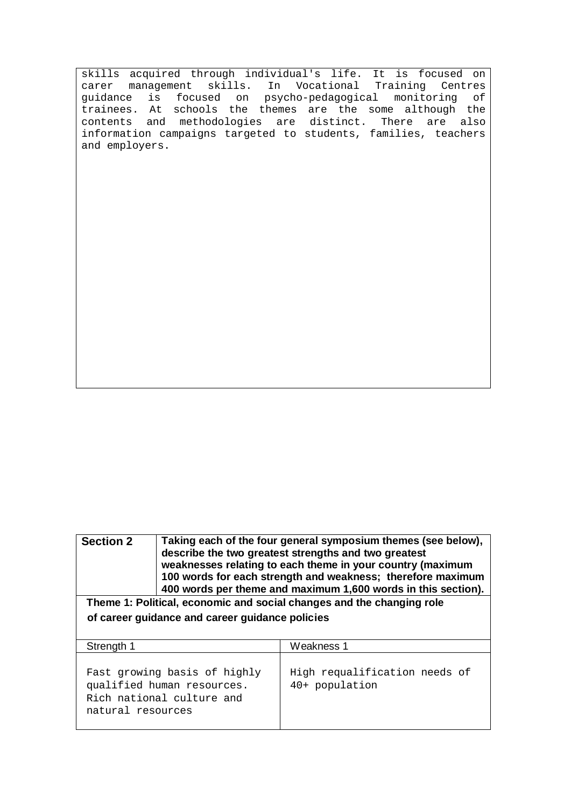skills acquired through individual's life. It is focused on carer management skills. In Vocational Training Centres<br>guidance is focused on psycho-pedagogical monitoring of guidance is focused on psycho-pedagogical trainees. At schools the themes are the some although the contents and methodologies are distinct. There are also information campaigns targeted to students, families, teachers and employers.

**Section 2 Taking each of the four general symposium themes (see below), describe the two greatest strengths and two greatest weaknesses relating to each theme in your country (maximum 100 words for each strength and weakness; therefore maximum 400 words per theme and maximum 1,600 words in this section). Theme 1: Political, economic and social changes and the changing role of career guidance and career guidance policies** Strength 1 Weakness 1 Fast growing basis of highly qualified human resources. High requalification needs of 40+ population

Rich national culture and

natural resources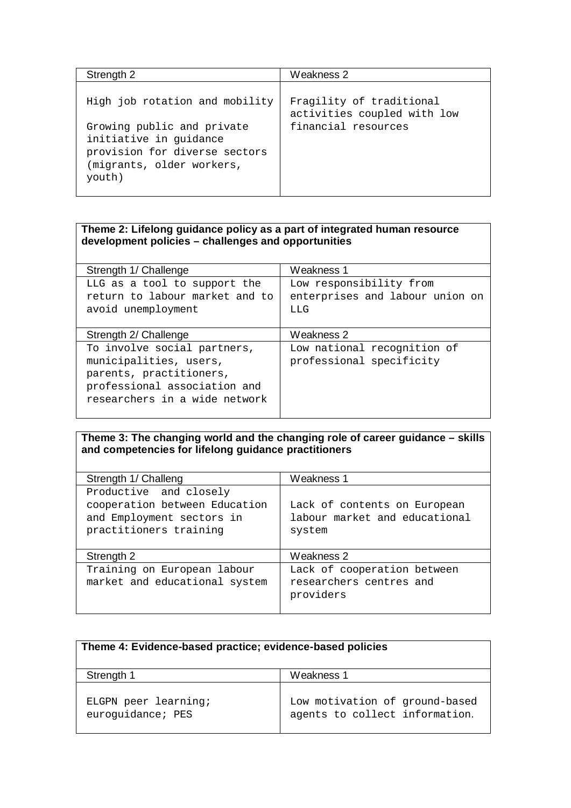| Strength 2                                                                                                                   | Weakness 2                                              |
|------------------------------------------------------------------------------------------------------------------------------|---------------------------------------------------------|
| High job rotation and mobility                                                                                               | Fragility of traditional<br>activities coupled with low |
| Growing public and private<br>initiative in guidance<br>provision for diverse sectors<br>(migrants, older workers,<br>youth) | financial resources                                     |

## **Theme 2: Lifelong guidance policy as a part of integrated human resource development policies – challenges and opportunities**

| Strength 1/ Challenge                                                                                                                             | Weakness 1                                                        |  |  |
|---------------------------------------------------------------------------------------------------------------------------------------------------|-------------------------------------------------------------------|--|--|
| LLG as a tool to support the<br>return to labour market and to<br>avoid unemployment                                                              | Low responsibility from<br>enterprises and labour union on<br>LLG |  |  |
| Strength 2/ Challenge                                                                                                                             | Weakness 2                                                        |  |  |
| To involve social partners,<br>municipalities, users,<br>parents, practitioners,<br>professional association and<br>researchers in a wide network | Low national recognition of<br>professional specificity           |  |  |

## **Theme 3: The changing world and the changing role of career guidance – skills and competencies for lifelong guidance practitioners**

| Strength 1/ Challeng                                                                                           | Weakness 1                                                              |
|----------------------------------------------------------------------------------------------------------------|-------------------------------------------------------------------------|
| Productive and closely<br>cooperation between Education<br>and Employment sectors in<br>practitioners training | Lack of contents on European<br>labour market and educational<br>system |
| Strength 2                                                                                                     | Weakness 2                                                              |
| Training on European labour<br>market and educational system                                                   | Lack of cooperation between<br>researchers centres and<br>providers     |

| Theme 4: Evidence-based practice; evidence-based policies |                                                                  |  |  |  |  |
|-----------------------------------------------------------|------------------------------------------------------------------|--|--|--|--|
| Strength 1                                                | Weakness 1                                                       |  |  |  |  |
| ELGPN peer learning;<br>euroquidance; PES                 | Low motivation of ground-based<br>agents to collect information. |  |  |  |  |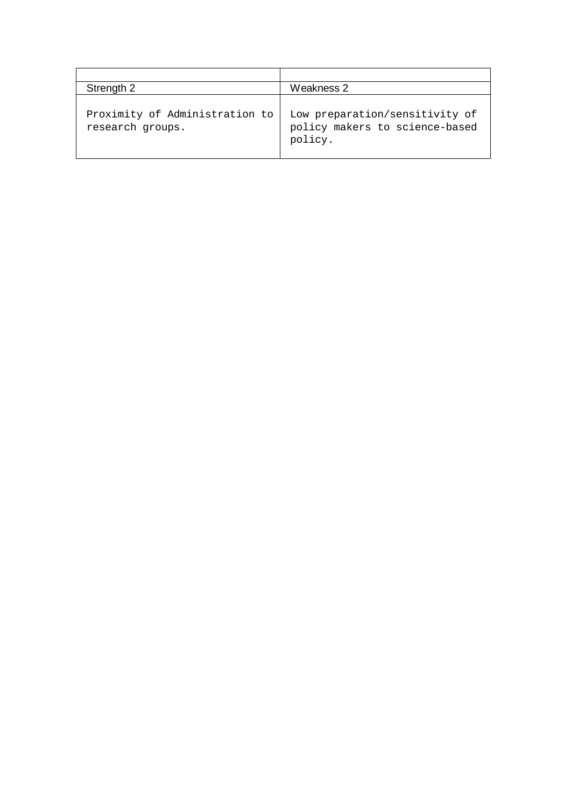| Strength 2                                         | Weakness 2                                                                  |  |  |  |  |
|----------------------------------------------------|-----------------------------------------------------------------------------|--|--|--|--|
| Proximity of Administration to<br>research groups. | Low preparation/sensitivity of<br>policy makers to science-based<br>policy. |  |  |  |  |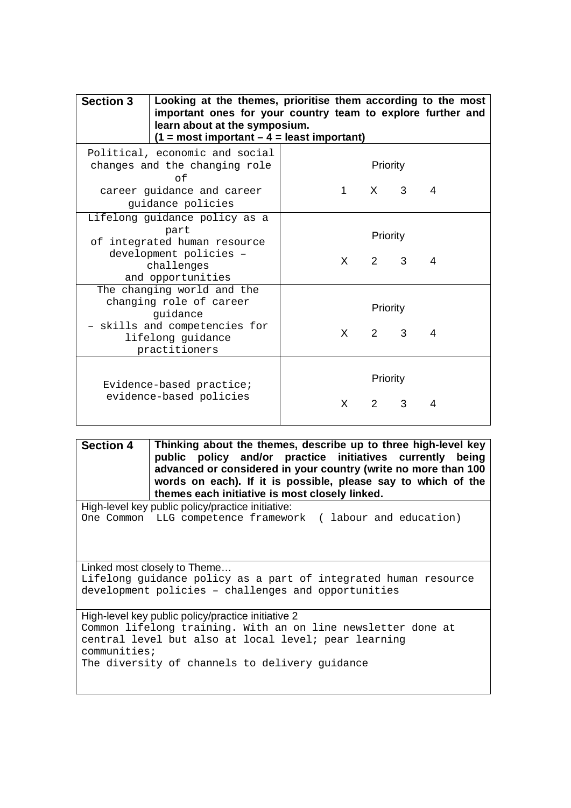| <b>Section 3</b><br>Looking at the themes, prioritise them according to the most<br>important ones for your country team to explore further and<br>learn about at the symposium.<br>$(1 = most important - 4 = least important)$ |  |          |              |                         |              |   |
|----------------------------------------------------------------------------------------------------------------------------------------------------------------------------------------------------------------------------------|--|----------|--------------|-------------------------|--------------|---|
| Political, economic and social<br>changes and the changing role<br>$\cap f$                                                                                                                                                      |  | Priority |              |                         |              |   |
| career quidance and career<br>guidance policies                                                                                                                                                                                  |  |          | 1            |                         | $X \qquad 3$ | 4 |
| Lifelong guidance policy as a<br>part<br>of integrated human resource<br>development policies -<br>$X \sim$<br>challenges<br>and opportunities                                                                                   |  | Priority | $2 \quad 3$  | 4                       |              |   |
| The changing world and the<br>changing role of career<br>quidance<br>- skills and competencies for<br>lifelong guidance                                                                                                          |  |          | $X \sim$     | Priority<br>$2 \quad 3$ |              | 4 |
| practitioners<br>Evidence-based practice;<br>evidence-based policies                                                                                                                                                             |  |          | $\mathsf{X}$ | Priority<br>$2^{\circ}$ | 3            | 4 |

**Section 4 Thinking about the themes, describe up to three high-level key public policy and/or practice initiatives currently being advanced or considered in your country (write no more than 100 words on each). If it is possible, please say to which of the themes each initiative is most closely linked.** 

High-level key public policy/practice initiative: One Common LLG competence framework ( labour and education)

Linked most closely to Theme… Lifelong guidance policy as a part of integrated human resource development policies – challenges and opportunities

High-level key public policy/practice initiative 2 Common lifelong training. With an on line newsletter done at central level but also at local level; pear learning communities; The diversity of channels to delivery guidance